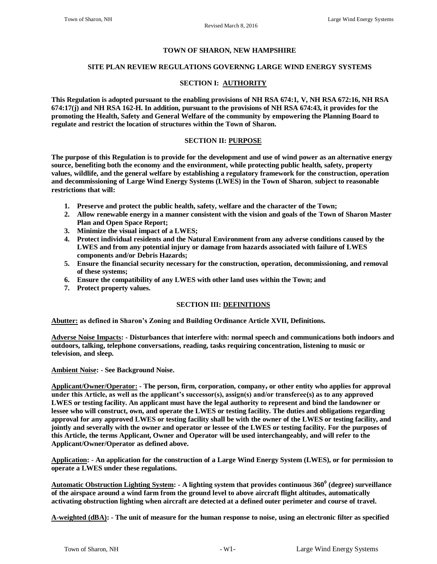#### **TOWN OF SHARON, NEW HAMPSHIRE**

#### **SITE PLAN REVIEW REGULATIONS GOVERNNG LARGE WIND ENERGY SYSTEMS**

#### **SECTION I: AUTHORITY**

**This Regulation is adopted pursuant to the enabling provisions of NH RSA 674:1, V, NH RSA 672:16, NH RSA 674:17(j) and NH RSA 162-H. In addition, pursuant to the provisions of NH RSA 674:43, it provides for the promoting the Health, Safety and General Welfare of the community by empowering the Planning Board to regulate and restrict the location of structures within the Town of Sharon.**

### **SECTION II: PURPOSE**

**The purpose of this Regulation is to provide for the development and use of wind power as an alternative energy source, benefiting both the economy and the environment, while protecting public health, safety, property values, wildlife, and the general welfare by establishing a regulatory framework for the construction, operation and decommissioning of Large Wind Energy Systems (LWES) in the Town of Sharon**, **subject to reasonable restrictions that will:**

- **1. Preserve and protect the public health, safety, welfare and the character of the Town;**
- **2. Allow renewable energy in a manner consistent with the vision and goals of the Town of Sharon Master Plan and Open Space Report;**
- **3. Minimize the visual impact of a LWES;**
- **4. Protect individual residents and the Natural Environment from any adverse conditions caused by the LWES and from any potential injury or damage from hazards associated with failure of LWES components and/or Debris Hazards;**
- **5. Ensure the financial security necessary for the construction, operation, decommissioning, and removal of these systems;**
- **6. Ensure the compatibility of any LWES with other land uses within the Town; and**
- **7. Protect property values.**

### **SECTION III: DEFINITIONS**

**Abutter: as defined in Sharon's Zoning and Building Ordinance Article XVII, Definitions.**

**Adverse Noise Impacts: - Disturbances that interfere with: normal speech and communications both indoors and outdoors, talking, telephone conversations, reading, tasks requiring concentration, listening to music or television, and sleep.**

**Ambient Noise: - See Background Noise.**

**Applicant/Owner/Operator: - The person, firm, corporation, company, or other entity who applies for approval under this Article, as well as the applicant's successor(s), assign(s) and/or transferee(s) as to any approved LWES or testing facility. An applicant must have the legal authority to represent and bind the landowner or lessee who will construct, own, and operate the LWES or testing facility. The duties and obligations regarding approval for any approved LWES or testing facility shall be with the owner of the LWES or testing facility, and jointly and severally with the owner and operator or lessee of the LWES or testing facility. For the purposes of this Article, the terms Applicant, Owner and Operator will be used interchangeably, and will refer to the Applicant/Owner/Operator as defined above.**

**Application: - An application for the construction of a Large Wind Energy System (LWES), or for permission to operate a LWES under these regulations.**

**Automatic Obstruction Lighting System: - A lighting system that provides continuous 360<sup>0</sup> (degree) surveillance of the airspace around a wind farm from the ground level to above aircraft flight altitudes, automatically activating obstruction lighting when aircraft are detected at a defined outer perimeter and course of travel.**

**A-weighted (dBA): - The unit of measure for the human response to noise, using an electronic filter as specified**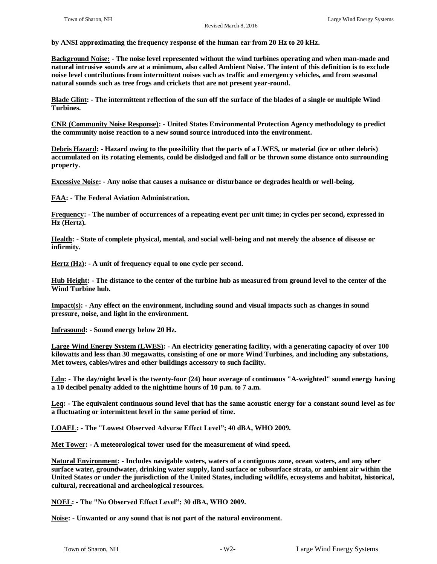**by ANSI approximating the frequency response of the human ear from 20 Hz to 20 kHz.**

**Background Noise: - The noise level represented without the wind turbines operating and when man-made and natural intrusive sounds are at a minimum, also called Ambient Noise. The intent of this definition is to exclude noise level contributions from intermittent noises such as traffic and emergency vehicles, and from seasonal natural sounds such as tree frogs and crickets that are not present year-round.**

**Blade Glint: - The intermittent reflection of the sun off the surface of the blades of a single or multiple Wind Turbines.**

**CNR (Community Noise Response): - United States Environmental Protection Agency methodology to predict the community noise reaction to a new sound source introduced into the environment.**

**Debris Hazard: - Hazard owing to the possibility that the parts of a LWES, or material (ice or other debris) accumulated on its rotating elements, could be dislodged and fall or be thrown some distance onto surrounding property.**

**Excessive Noise: - Any noise that causes a nuisance or disturbance or degrades health or well-being.**

**FAA: - The Federal Aviation Administration.**

**Frequency: - The number of occurrences of a repeating event per unit time; in cycles per second, expressed in Hz (Hertz).**

**Health: - State of complete physical, mental, and social well-being and not merely the absence of disease or infirmity.**

**Hertz (Hz): - A unit of frequency equal to one cycle per second.**

**Hub Height: - The distance to the center of the turbine hub as measured from ground level to the center of the Wind Turbine hub.**

**Impact(s): - Any effect on the environment, including sound and visual impacts such as changes in sound pressure, noise, and light in the environment.**

**Infrasound: - Sound energy below 20 Hz.**

**Large Wind Energy System (LWES): - An electricity generating facility, with a generating capacity of over 100 kilowatts and less than 30 megawatts, consisting of one or more Wind Turbines, and including any substations, Met towers, cables/wires and other buildings accessory to such facility.**

**Ldn: - The day/night level is the twenty-four (24) hour average of continuous "A-weighted" sound energy having a 10 decibel penalty added to the nighttime hours of 10 p.m. to 7 a.m.**

**Leq: - The equivalent continuous sound level that has the same acoustic energy for a constant sound level as for a fluctuating or intermittent level in the same period of time.**

**LOAEL: - The "Lowest Observed Adverse Effect Level"; 40 dBA, WHO 2009.**

**Met Tower: - A meteorological tower used for the measurement of wind speed.**

**Natural Environment: - Includes navigable waters, waters of a contiguous zone, ocean waters, and any other surface water, groundwater, drinking water supply, land surface or subsurface strata, or ambient air within the United States or under the jurisdiction of the United States, including wildlife, ecosystems and habitat, historical, cultural, recreational and archeological resources.**

**NOEL: - The "No Observed Effect Level"; 30 dBA, WHO 2009.**

**Noise: - Unwanted or any sound that is not part of the natural environment.**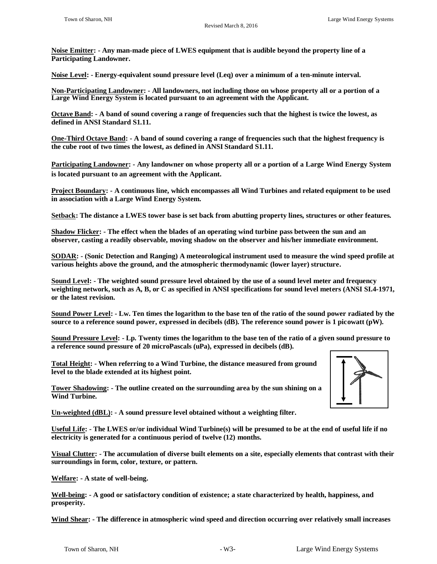**Noise Emitter: - Any man-made piece of LWES equipment that is audible beyond the property line of a Participating Landowner.**

**Noise Level: - Energy-equivalent sound pressure level (Leq) over a minimum of a ten-minute interval.**

**Non-Participating Landowner: - All landowners, not including those on whose property all or a portion of a Large Wind Energy System is located pursuant to an agreement with the Applicant.**

**Octave Band: - A band of sound covering a range of frequencies such that the highest is twice the lowest, as defined in ANSI Standard S1.11.**

**One-Third Octave Band: - A band of sound covering a range of frequencies such that the highest frequency is the cube root of two times the lowest, as defined in ANSI Standard S1.11.**

**Participating Landowner: - Any landowner on whose property all or a portion of a Large Wind Energy System is located pursuant to an agreement with the Applicant.**

**Project Boundary: - A continuous line, which encompasses all Wind Turbines and related equipment to be used in association with a Large Wind Energy System.**

**Setback: The distance a LWES tower base is set back from abutting property lines, structures or other features.**

**Shadow Flicker: - The effect when the blades of an operating wind turbine pass between the sun and an observer, casting a readily observable, moving shadow on the observer and his/her immediate environment.**

**SODAR: - (Sonic Detection and Ranging) A meteorological instrument used to measure the wind speed profile at various heights above the ground, and the atmospheric thermodynamic (lower layer) structure.**

**Sound Level: - The weighted sound pressure level obtained by the use of a sound level meter and frequency weighting network, such as A, B, or C as specified in ANSI specifications for sound level meters (ANSI SI.4-1971, or the latest revision.**

**Sound Power Level: - Lw. Ten times the logarithm to the base ten of the ratio of the sound power radiated by the source to a reference sound power, expressed in decibels (dB). The reference sound power is 1 picowatt (pW).**

**Sound Pressure Level: - Lp. Twenty times the logarithm to the base ten of the ratio of a given sound pressure to a reference sound pressure of 20 microPascals (uPa), expressed in decibels (dB).**

**Total Height: - When referring to a Wind Turbine, the distance measured from ground level to the blade extended at its highest point.** 

**Tower Shadowing: - The outline created on the surrounding area by the sun shining on a Wind Turbine.**

**Un-weighted (dBL): - A sound pressure level obtained without a weighting filter.**

**Useful Life: - The LWES or/or individual Wind Turbine(s) will be presumed to be at the end of useful life if no electricity is generated for a continuous period of twelve (12) months.**

**Visual Clutter: - The accumulation of diverse built elements on a site, especially elements that contrast with their surroundings in form, color, texture, or pattern.**

**Welfare: - A state of well-being.**

**Well-being: - A good or satisfactory condition of existence; a state characterized by health, happiness, and prosperity.**

**Wind Shear: - The difference in atmospheric wind speed and direction occurring over relatively small increases**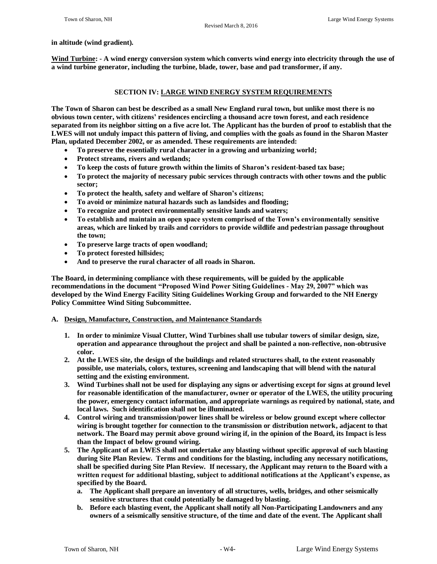#### **in altitude (wind gradient).**

**Wind Turbine: - A wind energy conversion system which converts wind energy into electricity through the use of a wind turbine generator, including the turbine, blade, tower, base and pad transformer, if any.**

#### **SECTION IV: LARGE WIND ENERGY SYSTEM REQUIREMENTS**

**The Town of Sharon can best be described as a small New England rural town, but unlike most there is no obvious town center, with citizens' residences encircling a thousand acre town forest, and each residence separated from its neighbor sitting on a five acre lot. The Applicant has the burden of proof to establish that the LWES will not unduly impact this pattern of living, and complies with the goals as found in the Sharon Master Plan, updated December 2002, or as amended. These requirements are intended:**

- **To preserve the essentially rural character in a growing and urbanizing world;**
- **Protect streams, rivers and wetlands;**
- **To keep the costs of future growth within the limits of Sharon's resident-based tax base;**
- **To protect the majority of necessary pubic services through contracts with other towns and the public sector;**
- **To protect the health, safety and welfare of Sharon's citizens;**
- **To avoid or minimize natural hazards such as landsides and flooding;**
- **To recognize and protect environmentally sensitive lands and waters;**
- **To establish and maintain an open space system comprised of the Town's environmentally sensitive areas, which are linked by trails and corridors to provide wildlife and pedestrian passage throughout the town;**
- **To preserve large tracts of open woodland;**
- **To protect forested hillsides;**
- **And to preserve the rural character of all roads in Sharon.**

**The Board, in determining compliance with these requirements, will be guided by the applicable recommendations in the document "Proposed Wind Power Siting Guidelines - May 29, 2007" which was developed by the Wind Energy Facility Siting Guidelines Working Group and forwarded to the NH Energy Policy Committee Wind Siting Subcommittee.**

#### **A. Design, Manufacture, Construction, and Maintenance Standards**

- **1. In order to minimize Visual Clutter, Wind Turbines shall use tubular towers of similar design, size, operation and appearance throughout the project and shall be painted a non-reflective, non-obtrusive color.**
- **2. At the LWES site, the design of the buildings and related structures shall, to the extent reasonably possible, use materials, colors, textures, screening and landscaping that will blend with the natural setting and the existing environment.**
- **3. Wind Turbines shall not be used for displaying any signs or advertising except for signs at ground level for reasonable identification of the manufacturer, owner or operator of the LWES, the utility procuring the power, emergency contact information, and appropriate warnings as required by national, state, and local laws. Such identification shall not be illuminated.**
- **4. Control wiring and transmission/power lines shall be wireless or below ground except where collector wiring is brought together for connection to the transmission or distribution network, adjacent to that network. The Board may permit above ground wiring if, in the opinion of the Board, its Impact is less than the Impact of below ground wiring.**
- **5. The Applicant of an LWES shall not undertake any blasting without specific approval of such blasting during Site Plan Review. Terms and conditions for the blasting, including any necessary notifications, shall be specified during Site Plan Review. If necessary, the Applicant may return to the Board with a written request for additional blasting, subject to additional notifications at the Applicant's expense, as specified by the Board.**
	- **a. The Applicant shall prepare an inventory of all structures, wells, bridges, and other seismically sensitive structures that could potentially be damaged by blasting.**
	- **b. Before each blasting event, the Applicant shall notify all Non-Participating Landowners and any owners of a seismically sensitive structure, of the time and date of the event. The Applicant shall**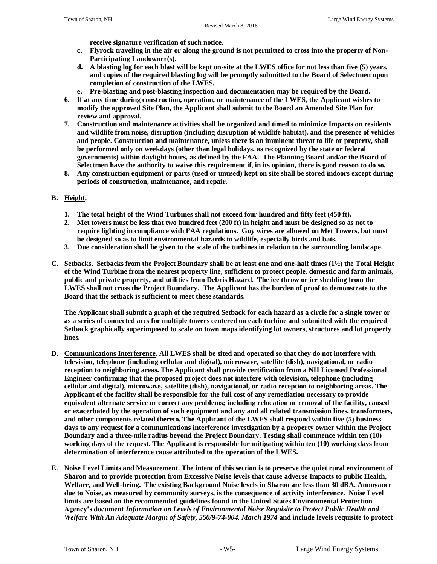**receive signature verification of such notice.** 

- **c. Flyrock traveling in the air or along the ground is not permitted to cross into the property of Non-Participating Landowner(s).**
- **d. A blasting log for each blast will be kept on-site at the LWES office for not less than five (5) years, and copies of the required blasting log will be promptly submitted to the Board of Selectmen upon completion of construction of the LWES.**
- **e. Pre-blasting and post-blasting inspection and documentation may be required by the Board.**
- **6. If at any time during construction, operation, or maintenance of the LWES, the Applicant wishes to modify the approved Site Plan, the Applicant shall submit to the Board an Amended Site Plan for review and approval.**
- **7. Construction and maintenance activities shall be organized and timed to minimize Impacts on residents and wildlife from noise, disruption (including disruption of wildlife habitat), and the presence of vehicles and people. Construction and maintenance, unless there is an imminent threat to life or property, shall be performed only on weekdays (other than legal holidays, as recognized by the state or federal governments) within daylight hours, as defined by the FAA. The Planning Board and/or the Board of Selectmen have the authority to waive this requirement if, in its opinion, there is good reason to do so.**
- **8. Any construction equipment or parts (used or unused) kept on site shall be stored indoors except during periods of construction, maintenance, and repair.**

# **B. Height.**

- **1. The total height of the Wind Turbines shall not exceed four hundred and fifty feet (450 ft).**
- **2. Met towers must be less that two hundred feet (200 ft) in height and must be designed so as not to require lighting in compliance with FAA regulations. Guy wires are allowed on Met Towers, but must be designed so as to limit environmental hazards to wildlife, especially birds and bats.**
- **3. Due consideration shall be given to the scale of the turbines in relation to the surrounding landscape.**
- **C. Setbacks. Setbacks from the Project Boundary shall be at least one and one-half times (1½) the Total Height of the Wind Turbine from the nearest property line, sufficient to protect people, domestic and farm animals, public and private property, and utilities from Debris Hazard. The ice throw or ice shedding from the LWES shall not cross the Project Boundary. The Applicant has the burden of proof to demonstrate to the Board that the setback is sufficient to meet these standards.**

**The Applicant shall submit a graph of the required Setback for each hazard as a circle for a single tower or as a series of connected arcs for multiple towers centered on each turbine and submitted with the required Setback graphically superimposed to scale on town maps identifying lot owners, structures and lot property lines.**

- **D. Communications Interference. All LWES shall be sited and operated so that they do not interfere with television, telephone (including cellular and digital), microwave, satellite (dish), navigational, or radio reception to neighboring areas. The Applicant shall provide certification from a NH Licensed Professional Engineer confirming that the proposed project does not interfere with television, telephone (including cellular and digital), microwave, satellite (dish), navigational, or radio reception to neighboring areas. The Applicant of the facility shall be responsible for the full cost of any remediation necessary to provide equivalent alternate service or correct any problems; including relocation or removal of the facility, caused or exacerbated by the operation of such equipment and any and all related transmission lines, transformers, and other components related thereto. The Applicant of the LWES shall respond within five (5) business days to any request for a communications interference investigation by a property owner within the Project Boundary and a three-mile radius beyond the Project Boundary. Testing shall commence within ten (10) working days of the request. The Applicant is responsible for mitigating within ten (10) working days from determination of interference cause attributed to the operation of the LWES.**
- **E. Noise Level Limits and Measurement. The intent of this section is to preserve the quiet rural environment of Sharon and to provide protection from Excessive Noise levels that cause adverse Impacts to public Health, Welfare, and Well-being. The existing Background Noise levels in Sharon are less than 30 dBA. Annoyance due to Noise, as measured by community surveys, is the consequence of activity interference. Noise Level limits are based on the recommended guidelines found in the United States Environmental Protection Agency's document** *Information on Levels of Environmental Noise Requisite to Protect Public Health and Welfare With An Adequate Margin of Safety, 550/9-74-004, March 1974* **and include levels requisite to protect**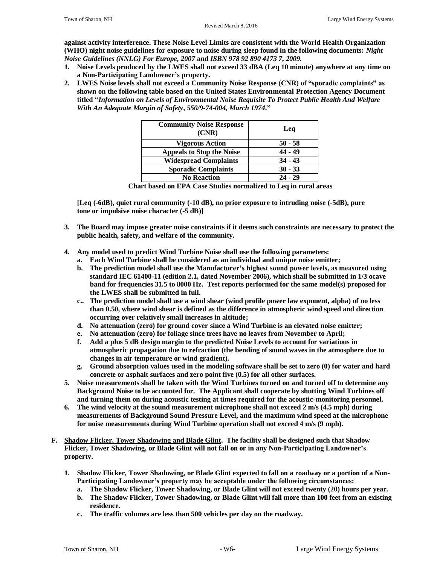**against activity interference. These Noise Level Limits are consistent with the World Health Organization (WHO) night noise guidelines for exposure to noise during sleep found in the following documents:** *Night Noise Guidelines (NNLG) For Europe, 2007* **and** *ISBN 978 92 890 4173 7***,** *2009.* 

- **1. Noise Levels produced by the LWES shall not exceed 33 dBA (Leq 10 minute) anywhere at any time on a Non-Participating Landowner's property.**
- **2. LWES Noise levels shall not exceed a Community Noise Response (CNR) of "sporadic complaints" as shown on the following table based on the United States Environmental Protection Agency Document titled "***Information on Levels of Environmental Noise Requisite To Protect Public Health And Welfare With An Adequate Margin of Safety***,** *550/9-74-004, March 1974***."**

| <b>Community Noise Response</b><br>(CNR) | Leq       |
|------------------------------------------|-----------|
| <b>Vigorous Action</b>                   | $50 - 58$ |
| <b>Appeals to Stop the Noise</b>         | 44 - 49   |
| <b>Widespread Complaints</b>             | $34 - 43$ |
| <b>Sporadic Complaints</b>               | $30 - 33$ |
| <b>No Reaction</b>                       | $24 - 29$ |

 **Chart based on EPA Case Studies normalized to Leq in rural areas**

**[Leq (-6dB), quiet rural community (-10 dB), no prior exposure to intruding noise (-5dB), pure tone or impulsive noise character (-5 dB)]**

- **3. The Board may impose greater noise constraints if it deems such constraints are necessary to protect the public health, safety, and welfare of the community.**
- **4. Any model used to predict Wind Turbine Noise shall use the following parameters:**
	- **a. Each Wind Turbine shall be considered as an individual and unique noise emitter;**
	- **b. The prediction model shall use the Manufacturer's highest sound power levels, as measured using standard IEC 61400-11 (edition 2.1, dated November 2006), which shall be submitted in 1/3 ocave band for frequencies 31.5 to 8000 Hz. Test reports performed for the same model(s) proposed for the LWES shall be submitted in full.**
	- **c.. The prediction model shall use a wind shear (wind profile power law exponent, alpha) of no less than 0.50, where wind shear is defined as the difference in atmospheric wind speed and direction occurring over relatively small increases in altitude;**
	- **d. No attenuation (zero) for ground cover since a Wind Turbine is an elevated noise emitter;**
	- **e. No attenuation (zero) for foliage since trees have no leaves from November to April;**
	- **f. Add a plus 5 dB design margin to the predicted Noise Levels to account for variations in atmospheric propagation due to refraction (the bending of sound waves in the atmosphere due to changes in air temperature or wind gradient).**
	- **g. Ground absorption values used in the modeling software shall be set to zero (0) for water and hard concrete or asphalt surfaces and zero point five (0.5) for all other surfaces.**
- **5. Noise measurements shall be taken with the Wind Turbines turned on and turned off to determine any Background Noise to be accounted for. The Applicant shall cooperate by shutting Wind Turbines off and turning them on during acoustic testing at times required for the acoustic-monitoring personnel.**
- **6. The wind velocity at the sound measurement microphone shall not exceed 2 m/s (4.5 mph) during measurements of Background Sound Pressure Level, and the maximum wind speed at the microphone for noise measurements during Wind Turbine operation shall not exceed 4 m/s (9 mph).**
- **F. Shadow Flicker, Tower Shadowing and Blade Glint. The facility shall be designed such that Shadow Flicker, Tower Shadowing, or Blade Glint will not fall on or in any Non-Participating Landowner's property.** 
	- **1. Shadow Flicker, Tower Shadowing, or Blade Glint expected to fall on a roadway or a portion of a Non-Participating Landowner's property may be acceptable under the following circumstances:**
		- **a. The Shadow Flicker, Tower Shadowing, or Blade Glint will not exceed twenty (20) hours per year.**
		- **b. The Shadow Flicker, Tower Shadowing, or Blade Glint will fall more than 100 feet from an existing residence.**
		- **c. The traffic volumes are less than 500 vehicles per day on the roadway.**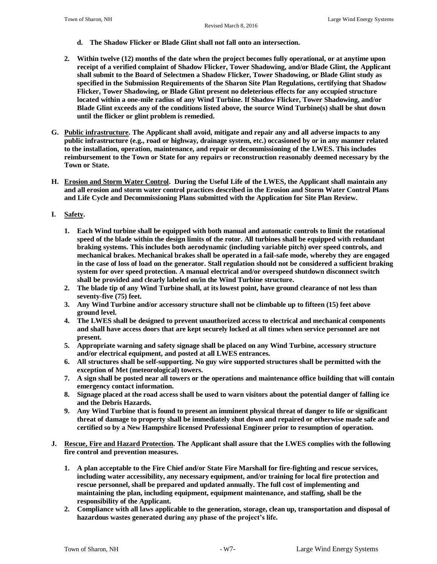- **d. The Shadow Flicker or Blade Glint shall not fall onto an intersection.**
- **2. Within twelve (12) months of the date when the project becomes fully operational, or at anytime upon receipt of a verified complaint of Shadow Flicker, Tower Shadowing, and/or Blade Glint, the Applicant shall submit to the Board of Selectmen a Shadow Flicker, Tower Shadowing, or Blade Glint study as specified in the Submission Requirements of the Sharon Site Plan Regulations, certifying that Shadow Flicker, Tower Shadowing, or Blade Glint present no deleterious effects for any occupied structure located within a one-mile radius of any Wind Turbine. If Shadow Flicker, Tower Shadowing, and/or Blade Glint exceeds any of the conditions listed above, the source Wind Turbine(s) shall be shut down until the flicker or glint problem is remedied.**
- **G. Public infrastructure. The Applicant shall avoid, mitigate and repair any and all adverse impacts to any public infrastructure (e.g., road or highway, drainage system, etc.) occasioned by or in any manner related to the installation, operation, maintenance, and repair or decommissioning of the LWES. This includes reimbursement to the Town or State for any repairs or reconstruction reasonably deemed necessary by the Town or State.**
- **H. Erosion and Storm Water Control. During the Useful Life of the LWES, the Applicant shall maintain any and all erosion and storm water control practices described in the Erosion and Storm Water Control Plans and Life Cycle and Decommissioning Plans submitted with the Application for Site Plan Review.**
- **I. Safety.**
	- **1. Each Wind turbine shall be equipped with both manual and automatic controls to limit the rotational speed of the blade within the design limits of the rotor. All turbines shall be equipped with redundant braking systems. This includes both aerodynamic (including variable pitch) over speed controls, and mechanical brakes. Mechanical brakes shall be operated in a fail-safe mode, whereby they are engaged in the case of loss of load on the generator. Stall regulation should not be considered a sufficient braking system for over speed protection. A manual electrical and/or overspeed shutdown disconnect switch shall be provided and clearly labeled on/in the Wind Turbine structure.**
	- **2. The blade tip of any Wind Turbine shall, at its lowest point, have ground clearance of not less than seventy-five (75) feet.**
	- **3. Any Wind Turbine and/or accessory structure shall not be climbable up to fifteen (15) feet above ground level.**
	- **4. The LWES shall be designed to prevent unauthorized access to electrical and mechanical components and shall have access doors that are kept securely locked at all times when service personnel are not present.**
	- **5. Appropriate warning and safety signage shall be placed on any Wind Turbine, accessory structure and/or electrical equipment, and posted at all LWES entrances.**
	- **6. All structures shall be self-supporting. No guy wire supported structures shall be permitted with the exception of Met (meteorological) towers.**
	- **7. A sign shall be posted near all towers or the operations and maintenance office building that will contain emergency contact information.**
	- **8. Signage placed at the road access shall be used to warn visitors about the potential danger of falling ice and the Debris Hazards.**
	- **9. Any Wind Turbine that is found to present an imminent physical threat of danger to life or significant threat of damage to property shall be immediately shut down and repaired or otherwise made safe and certified so by a New Hampshire licensed Professional Engineer prior to resumption of operation.**
- **J. Rescue, Fire and Hazard Protection. The Applicant shall assure that the LWES complies with the following fire control and prevention measures.**
	- **1. A plan acceptable to the Fire Chief and/or State Fire Marshall for fire-fighting and rescue services, including water accessibility, any necessary equipment, and/or training for local fire protection and rescue personnel, shall be prepared and updated annually. The full cost of implementing and maintaining the plan, including equipment, equipment maintenance, and staffing, shall be the responsibility of the Applicant.**
	- **2. Compliance with all laws applicable to the generation, storage, clean up, transportation and disposal of hazardous wastes generated during any phase of the project's life.**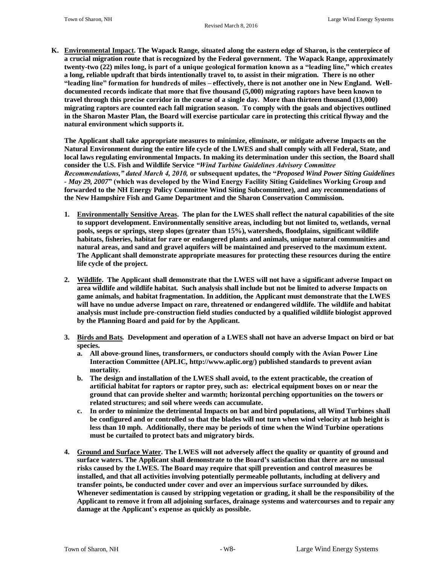**K. Environmental Impact. The Wapack Range, situated along the eastern edge of Sharon, is the centerpiece of a crucial migration route that is recognized by the Federal government. The Wapack Range, approximately twenty-two (22) miles long, is part of a unique geological formation known as a "leading line," which creates a long, reliable updraft that birds intentionally travel to, to assist in their migration. There is no other "leading line" formation for hundreds of miles – effectively, there is not another one in New England. Welldocumented records indicate that more that five thousand (5,000) migrating raptors have been known to travel through this precise corridor in the course of a single day. More than thirteen thousand (13,000) migrating raptors are counted each fall migration season. To comply with the goals and objectives outlined in the Sharon Master Plan, the Board will exercise particular care in protecting this critical flyway and the natural environment which supports it.**

**The Applicant shall take appropriate measures to minimize, eliminate, or mitigate adverse Impacts on the Natural Environment during the entire life cycle of the LWES and shall comply with all Federal, State, and local laws regulating environmental Impacts. In making its determination under this section, the Board shall consider the U.S. Fish and Wildlife Service** *"Wind Turbine Guidelines Advisory Committee Recommendations," dated March 4, 2010,* **or subsequent updates, the "***Proposed Wind Power Siting Guidelines - May 29, 2007***" (which was developed by the Wind Energy Facility Siting Guidelines Working Group and forwarded to the NH Energy Policy Committee Wind Siting Subcommittee), and any recommendations of the New Hampshire Fish and Game Department and the Sharon Conservation Commission.**

- **1. Environmentally Sensitive Areas. The plan for the LWES shall reflect the natural capabilities of the site to support development. Environmentally sensitive areas, including but not limited to, wetlands, vernal pools, seeps or springs, steep slopes (greater than 15%), watersheds, floodplains, significant wildlife habitats, fisheries, habitat for rare or endangered plants and animals, unique natural communities and natural areas, and sand and gravel aquifers will be maintained and preserved to the maximum extent. The Applicant shall demonstrate appropriate measures for protecting these resources during the entire life cycle of the project.**
- **2. Wildlife. The Applicant shall demonstrate that the LWES will not have a significant adverse Impact on area wildlife and wildlife habitat. Such analysis shall include but not be limited to adverse Impacts on game animals, and habitat fragmentation. In addition, the Applicant must demonstrate that the LWES will have no undue adverse Impact on rare, threatened or endangered wildlife. The wildlife and habitat analysis must include pre-construction field studies conducted by a qualified wildlife biologist approved by the Planning Board and paid for by the Applicant.**
- **3. Birds and Bats. Development and operation of a LWES shall not have an adverse Impact on bird or bat species.**
	- **a. All above-ground lines, transformers, or conductors should comply with the Avian Power Line Interaction Committee (APLIC, http://www.aplic.org/) published standards to prevent avian mortality.**
	- **b. The design and installation of the LWES shall avoid, to the extent practicable, the creation of artificial habitat for raptors or raptor prey, such as: electrical equipment boxes on or near the ground that can provide shelter and warmth; horizontal perching opportunities on the towers or related structures; and soil where weeds can accumulate.**
	- **c. In order to minimize the detrimental Impacts on bat and bird populations, all Wind Turbines shall be configured and or controlled so that the blades will not turn when wind velocity at hub height is less than 10 mph. Additionally, there may be periods of time when the Wind Turbine operations must be curtailed to protect bats and migratory birds.**
- **4. Ground and Surface Water. The LWES will not adversely affect the quality or quantity of ground and surface waters. The Applicant shall demonstrate to the Board's satisfaction that there are no unusual risks caused by the LWES. The Board may require that spill prevention and control measures be installed, and that all activities involving potentially permeable pollutants, including at delivery and transfer points, be conducted under cover and over an impervious surface surrounded by dikes. Whenever sedimentation is caused by stripping vegetation or grading, it shall be the responsibility of the Applicant to remove it from all adjoining surfaces, drainage systems and watercourses and to repair any damage at the Applicant's expense as quickly as possible.**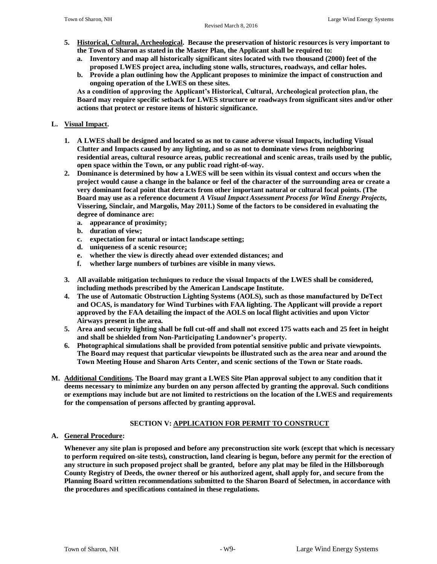- **5. Historical, Cultural, Archeological. Because the preservation of historic resources is very important to the Town of Sharon as stated in the Master Plan, the Applicant shall be required to:**
	- **a. Inventory and map all historically significant sites located with two thousand (2000) feet of the proposed LWES project area, including stone walls, structures, roadways, and cellar holes.**
	- **b. Provide a plan outlining how the Applicant proposes to minimize the impact of construction and ongoing operation of the LWES on these sites.**

**As a condition of approving the Applicant's Historical, Cultural, Archeological protection plan, the Board may require specific setback for LWES structure or roadways from significant sites and/or other actions that protect or restore items of historic significance.**

# **L. Visual Impact.**

- **1. A LWES shall be designed and located so as not to cause adverse visual Impacts, including Visual Clutter and Impacts caused by any lighting, and so as not to dominate views from neighboring residential areas, cultural resource areas, public recreational and scenic areas, trails used by the public, open space within the Town, or any public road right-of-way.**
- **2. Dominance is determined by how a LWES will be seen within its visual context and occurs when the project would cause a change in the balance or feel of the character of the surrounding area or create a very dominant focal point that detracts from other important natural or cultural focal points. (The Board may use as a reference document** *A Visual Impact Assessment Process for Wind Energy Projects***, Vissering, Sinclair, and Margolis, May 2011.) Some of the factors to be considered in evaluating the degree of dominance are:** 
	- **a. appearance of proximity;**
	- **b. duration of view;**
	- **c. expectation for natural or intact landscape setting;**
	- **d. uniqueness of a scenic resource;**
	- **e. whether the view is directly ahead over extended distances; and**
	- **f. whether large numbers of turbines are visible in many views.**
- **3. All available mitigation techniques to reduce the visual Impacts of the LWES shall be considered, including methods prescribed by the American Landscape Institute.**
- **4. The use of Automatic Obstruction Lighting Systems (AOLS), such as those manufactured by DeTect and OCAS, is mandatory for Wind Turbines with FAA lighting. The Applicant will provide a report approved by the FAA detailing the impact of the AOLS on local flight activities and upon Victor Airways present in the area.**
- **5. Area and security lighting shall be full cut-off and shall not exceed 175 watts each and 25 feet in height and shall be shielded from Non-Participating Landowner's property.**
- **6. Photographical simulations shall be provided from potential sensitive public and private viewpoints. The Board may request that particular viewpoints be illustrated such as the area near and around the Town Meeting House and Sharon Arts Center, and scenic sections of the Town or State roads.**
- **M. Additional Conditions. The Board may grant a LWES Site Plan approval subject to any condition that it deems necessary to minimize any burden on any person affected by granting the approval. Such conditions or exemptions may include but are not limited to restrictions on the location of the LWES and requirements for the compensation of persons affected by granting approval.**

# **SECTION V: APPLICATION FOR PERMIT TO CONSTRUCT**

### **A. General Procedure:**

**Whenever any site plan is proposed and before any preconstruction site work (except that which is necessary to perform required on-site tests), construction, land clearing is begun, before any permit for the erection of any structure in such proposed project shall be granted, before any plat may be filed in the Hillsborough County Registry of Deeds, the owner thereof or his authorized agent, shall apply for, and secure from the Planning Board written recommendations submitted to the Sharon Board of Selectmen, in accordance with the procedures and specifications contained in these regulations.**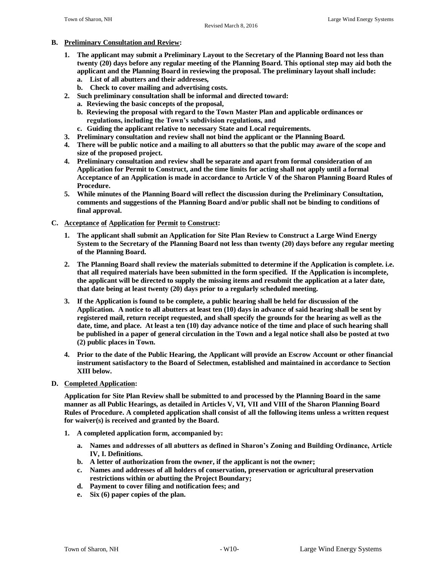### **B. Preliminary Consultation and Review:**

- **1. The applicant may submit a Preliminary Layout to the Secretary of the Planning Board not less than twenty (20) days before any regular meeting of the Planning Board. This optional step may aid both the applicant and the Planning Board in reviewing the proposal. The preliminary layout shall include:**
	- **a. List of all abutters and their addresses,**
	- **b. Check to cover mailing and advertising costs.**
- **2. Such preliminary consultation shall be informal and directed toward:**
	- **a. Reviewing the basic concepts of the proposal,**
	- **b. Reviewing the proposal with regard to the Town Master Plan and applicable ordinances or regulations, including the Town's subdivision regulations, and**
	- **c. Guiding the applicant relative to necessary State and Local requirements.**
- **3. Preliminary consultation and review shall not bind the applicant or the Planning Board.**
- **4. There will be public notice and a mailing to all abutters so that the public may aware of the scope and size of the proposed project.**
- **4. Preliminary consultation and review shall be separate and apart from formal consideration of an Application for Permit to Construct, and the time limits for acting shall not apply until a formal Acceptance of an Application is made in accordance to Article V of the Sharon Planning Board Rules of Procedure.**
- **5. While minutes of the Planning Board will reflect the discussion during the Preliminary Consultation, comments and suggestions of the Planning Board and/or public shall not be binding to conditions of final approval.**

#### **C. Acceptance of Application for Permit to Construct:**

- **1. The applicant shall submit an Application for Site Plan Review to Construct a Large Wind Energy System to the Secretary of the Planning Board not less than twenty (20) days before any regular meeting of the Planning Board.**
- **2. The Planning Board shall review the materials submitted to determine if the Application is complete. i.e. that all required materials have been submitted in the form specified. If the Application is incomplete, the applicant will be directed to supply the missing items and resubmit the application at a later date, that date being at least twenty (20) days prior to a regularly scheduled meeting.**
- **3. If the Application is found to be complete, a public hearing shall be held for discussion of the Application. A notice to all abutters at least ten (10) days in advance of said hearing shall be sent by registered mail, return receipt requested, and shall specify the grounds for the hearing as well as the date, time, and place. At least a ten (10) day advance notice of the time and place of such hearing shall be published in a paper of general circulation in the Town and a legal notice shall also be posted at two (2) public places in Town.**
- **4. Prior to the date of the Public Hearing, the Applicant will provide an Escrow Account or other financial instrument satisfactory to the Board of Selectmen, established and maintained in accordance to Section XIII below.**
- **D. Completed Application:**

**Application for Site Plan Review shall be submitted to and processed by the Planning Board in the same manner as all Public Hearings, as detailed in Articles V, VI, VII and VIII of the Sharon Planning Board Rules of Procedure. A completed application shall consist of all the following items unless a written request for waiver(s) is received and granted by the Board.**

- **1. A completed application form, accompanied by:**
	- **a. Names and addresses of all abutters as defined in Sharon's Zoning and Building Ordinance, Article IV, I. Definitions.**
	- **b. A letter of authorization from the owner, if the applicant is not the owner;**
	- **c. Names and addresses of all holders of conservation, preservation or agricultural preservation restrictions within or abutting the Project Boundary;**
	- **d. Payment to cover filing and notification fees; and**
	- **e. Six (6) paper copies of the plan.**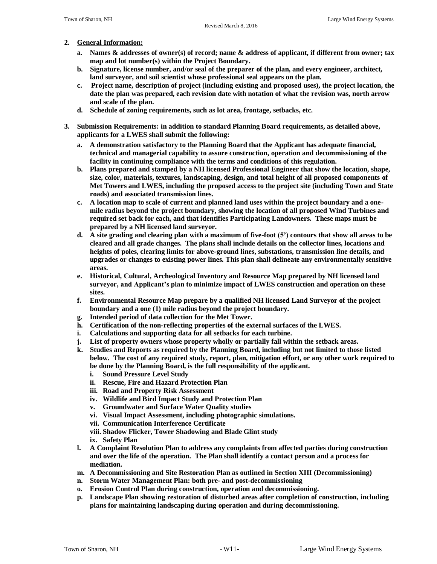#### **2. General Information:**

- **a. Names & addresses of owner(s) of record; name & address of applicant, if different from owner; tax map and lot number(s) within the Project Boundary.**
- **b. Signature, license number, and/or seal of the preparer of the plan, and every engineer, architect, land surveyor, and soil scientist whose professional seal appears on the plan.**
- **c. Project name, description of project (including existing and proposed uses), the project location, the date the plan was prepared, each revision date with notation of what the revision was, north arrow and scale of the plan.**
- **d. Schedule of zoning requirements, such as lot area, frontage, setbacks, etc.**
- **3. Submission Requirements: in addition to standard Planning Board requirements, as detailed above, applicants for a LWES shall submit the following:**
	- **a. A demonstration satisfactory to the Planning Board that the Applicant has adequate financial, technical and managerial capability to assure construction, operation and decommissioning of the facility in continuing compliance with the terms and conditions of this regulation.**
	- **b. Plans prepared and stamped by a NH licensed Professional Engineer that show the location, shape, size, color, materials, textures, landscaping, design, and total height of all proposed components of Met Towers and LWES, including the proposed access to the project site (including Town and State roads) and associated transmission lines.**
	- **c. A location map to scale of current and planned land uses within the project boundary and a onemile radius beyond the project boundary, showing the location of all proposed Wind Turbines and required set back for each, and that identifies Participating Landowners. These maps must be prepared by a NH licensed land surveyor.**
	- **d. A site grading and clearing plan with a maximum of five-foot (5') contours that show all areas to be cleared and all grade changes. The plans shall include details on the collector lines, locations and heights of poles, clearing limits for above-ground lines, substations, transmission line details, and upgrades or changes to existing power lines. This plan shall delineate any environmentally sensitive areas.**
	- **e. Historical, Cultural, Archeological Inventory and Resource Map prepared by NH licensed land surveyor, and Applicant's plan to minimize impact of LWES construction and operation on these sites.**
	- **f. Environmental Resource Map prepare by a qualified NH licensed Land Surveyor of the project boundary and a one (1) mile radius beyond the project boundary.**
	- **g. Intended period of data collection for the Met Tower.**
	- **h. Certification of the non-reflecting properties of the external surfaces of the LWES.**
	- **i. Calculations and supporting data for all setbacks for each turbine.**
	- **j. List of property owners whose property wholly or partially fall within the setback areas.**
	- **k. Studies and Reports as required by the Planning Board, including but not limited to those listed below. The cost of any required study, report, plan, mitigation effort, or any other work required to be done by the Planning Board, is the full responsibility of the applicant.**
		- **i. Sound Pressure Level Study**
		- **ii. Rescue, Fire and Hazard Protection Plan**
		- **iii. Road and Property Risk Assessment**
		- **iv. Wildlife and Bird Impact Study and Protection Plan**
		- **v. Groundwater and Surface Water Quality studies**
		- **vi. Visual Impact Assessment, including photographic simulations.**
		- **vii. Communication Interference Certificate**
		- **viii. Shadow Flicker, Tower Shadowing and Blade Glint study**
		- **ix. Safety Plan**
	- **l. A Complaint Resolution Plan to address any complaints from affected parties during construction and over the life of the operation. The Plan shall identify a contact person and a process for mediation.**
	- **m. A Decommissioning and Site Restoration Plan as outlined in Section XIII (Decommissioning)**
	- **n. Storm Water Management Plan: both pre- and post-decommissioning**
	- **o. Erosion Control Plan during construction, operation and decommissioning.**
	- **p. Landscape Plan showing restoration of disturbed areas after completion of construction, including plans for maintaining landscaping during operation and during decommissioning.**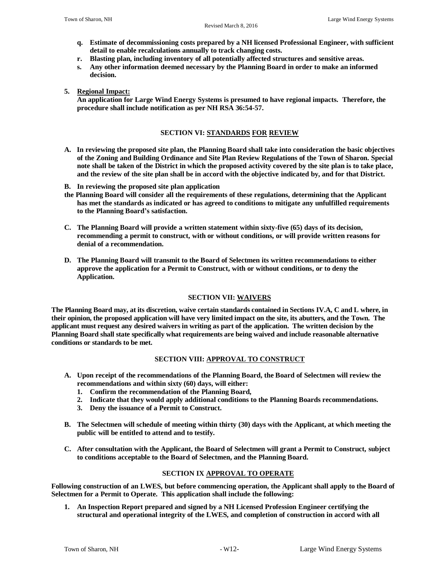- **q. Estimate of decommissioning costs prepared by a NH licensed Professional Engineer, with sufficient detail to enable recalculations annually to track changing costs.**
- **r. Blasting plan, including inventory of all potentially affected structures and sensitive areas.**
- **s. Any other information deemed necessary by the Planning Board in order to make an informed decision.**
- **5. Regional Impact:**

**An application for Large Wind Energy Systems is presumed to have regional impacts. Therefore, the procedure shall include notification as per NH RSA 36:54-57.** 

## **SECTION VI: STANDARDS FOR REVIEW**

- **A. In reviewing the proposed site plan, the Planning Board shall take into consideration the basic objectives of the Zoning and Building Ordinance and Site Plan Review Regulations of the Town of Sharon. Special note shall be taken of the District in which the proposed activity covered by the site plan is to take place, and the review of the site plan shall be in accord with the objective indicated by, and for that District.**
- **B. In reviewing the proposed site plan application**
- **the Planning Board will consider all the requirements of these regulations, determining that the Applicant has met the standards as indicated or has agreed to conditions to mitigate any unfulfilled requirements to the Planning Board's satisfaction.**
- **C. The Planning Board will provide a written statement within sixty-five (65) days of its decision, recommending a permit to construct, with or without conditions, or will provide written reasons for denial of a recommendation.**
- **D. The Planning Board will transmit to the Board of Selectmen its written recommendations to either approve the application for a Permit to Construct, with or without conditions, or to deny the Application.**

### **SECTION VII: WAIVERS**

**The Planning Board may, at its discretion, waive certain standards contained in Sections IV.A, C and L where, in their opinion, the proposed application will have very limited impact on the site, its abutters, and the Town. The applicant must request any desired waivers in writing as part of the application. The written decision by the Planning Board shall state specifically what requirements are being waived and include reasonable alternative conditions or standards to be met.**

### **SECTION VIII: APPROVAL TO CONSTRUCT**

- **A. Upon receipt of the recommendations of the Planning Board, the Board of Selectmen will review the recommendations and within sixty (60) days, will either:**
	- **1. Confirm the recommendation of the Planning Board,**
	- **2. Indicate that they would apply additional conditions to the Planning Boards recommendations.**
	- **3. Deny the issuance of a Permit to Construct.**
- **B. The Selectmen will schedule of meeting within thirty (30) days with the Applicant, at which meeting the public will be entitled to attend and to testify.**
- **C. After consultation with the Applicant, the Board of Selectmen will grant a Permit to Construct, subject to conditions acceptable to the Board of Selectmen, and the Planning Board.**

### **SECTION IX APPROVAL TO OPERATE**

**Following construction of an LWES, but before commencing operation, the Applicant shall apply to the Board of Selectmen for a Permit to Operate. This application shall include the following:**

**1. An Inspection Report prepared and signed by a NH Licensed Profession Engineer certifying the structural and operational integrity of the LWES, and completion of construction in accord with all**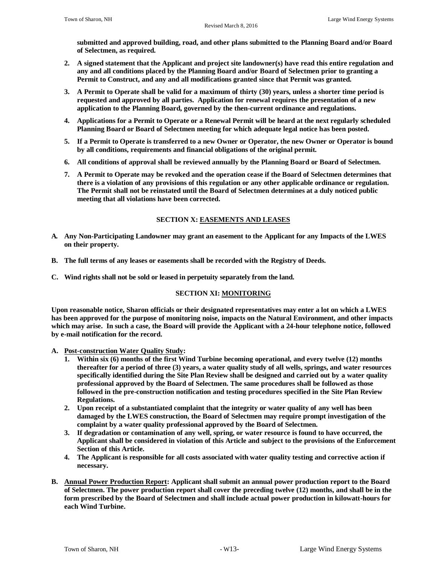**submitted and approved building, road, and other plans submitted to the Planning Board and/or Board of Selectmen, as required.**

- **2. A signed statement that the Applicant and project site landowner(s) have read this entire regulation and any and all conditions placed by the Planning Board and/or Board of Selectmen prior to granting a Permit to Construct, and any and all modifications granted since that Permit was granted.**
- **3. A Permit to Operate shall be valid for a maximum of thirty (30) years, unless a shorter time period is requested and approved by all parties. Application for renewal requires the presentation of a new application to the Planning Board, governed by the then-current ordinance and regulations.**
- **4. Applications for a Permit to Operate or a Renewal Permit will be heard at the next regularly scheduled Planning Board or Board of Selectmen meeting for which adequate legal notice has been posted.**
- **5. If a Permit to Operate is transferred to a new Owner or Operator, the new Owner or Operator is bound by all conditions, requirements and financial obligations of the original permit.**
- **6. All conditions of approval shall be reviewed annually by the Planning Board or Board of Selectmen.**
- **7. A Permit to Operate may be revoked and the operation cease if the Board of Selectmen determines that there is a violation of any provisions of this regulation or any other applicable ordinance or regulation. The Permit shall not be reinstated until the Board of Selectmen determines at a duly noticed public meeting that all violations have been corrected.**

# **SECTION X: EASEMENTS AND LEASES**

- **A. Any Non-Participating Landowner may grant an easement to the Applicant for any Impacts of the LWES on their property.**
- **B. The full terms of any leases or easements shall be recorded with the Registry of Deeds.**
- **C. Wind rights shall not be sold or leased in perpetuity separately from the land.**

### **SECTION XI: MONITORING**

**Upon reasonable notice, Sharon officials or their designated representatives may enter a lot on which a LWES has been approved for the purpose of monitoring noise, impacts on the Natural Environment, and other impacts which may arise. In such a case, the Board will provide the Applicant with a 24-hour telephone notice, followed by e-mail notification for the record.**

- **A. Post-construction Water Quality Study:**
	- **1. Within six (6) months of the first Wind Turbine becoming operational, and every twelve (12) months thereafter for a period of three (3) years, a water quality study of all wells, springs, and water resources specifically identified during the Site Plan Review shall be designed and carried out by a water quality professional approved by the Board of Selectmen. The same procedures shall be followed as those followed in the pre-construction notification and testing procedures specified in the Site Plan Review Regulations.**
	- **2. Upon receipt of a substantiated complaint that the integrity or water quality of any well has been damaged by the LWES construction, the Board of Selectmen may require prompt investigation of the complaint by a water quality professional approved by the Board of Selectmen.**
	- **3. If degradation or contamination of any well, spring, or water resource is found to have occurred, the Applicant shall be considered in violation of this Article and subject to the provisions of the Enforcement Section of this Article.**
	- **4. The Applicant is responsible for all costs associated with water quality testing and corrective action if necessary.**
- **B. Annual Power Production Report: Applicant shall submit an annual power production report to the Board of Selectmen. The power production report shall cover the preceding twelve (12) months, and shall be in the form prescribed by the Board of Selectmen and shall include actual power production in kilowatt-hours for each Wind Turbine.**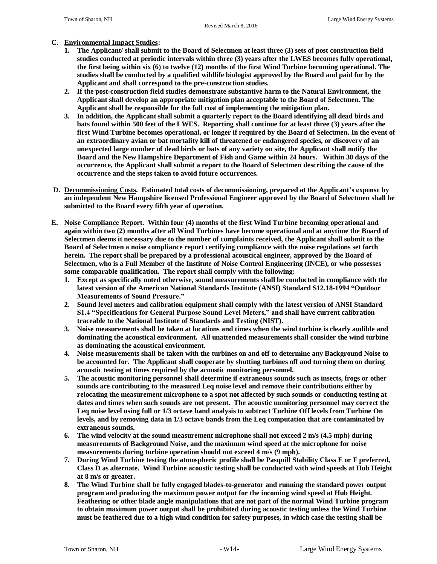#### **C. Environmental Impact Studies:**

- **1. The Applicant/ shall submit to the Board of Selectmen at least three (3) sets of post construction field studies conducted at periodic intervals within three (3) years after the LWES becomes fully operational, the first being within six (6) to twelve (12) months of the first Wind Turbine becoming operational. The studies shall be conducted by a qualified wildlife biologist approved by the Board and paid for by the Applicant and shall correspond to the pre-construction studies.**
- **2. If the post-construction field studies demonstrate substantive harm to the Natural Environment, the Applicant shall develop an appropriate mitigation plan acceptable to the Board of Selectmen. The Applicant shall be responsible for the full cost of implementing the mitigation plan.**
- **3. In addition, the Applicant shall submit a quarterly report to the Board identifying all dead birds and bats found within 500 feet of the LWES. Reporting shall continue for at least three (3) years after the first Wind Turbine becomes operational, or longer if required by the Board of Selectmen. In the event of an extraordinary avian or bat mortality kill of threatened or endangered species, or discovery of an unexpected large number of dead birds or bats of any variety on site, the Applicant shall notify the Board and the New Hampshire Department of Fish and Game within 24 hours. Within 30 days of the occurrence, the Applicant shall submit a report to the Board of Selectmen describing the cause of the occurrence and the steps taken to avoid future occurrences.**
- **D. Decommissioning Costs. Estimated total costs of decommissioning, prepared at the Applicant's expense by an independent New Hampshire licensed Professional Engineer approved by the Board of Selectmen shall be submitted to the Board every fifth year of operation.**
- **E. Noise Compliance Report. Within four (4) months of the first Wind Turbine becoming operational and again within two (2) months after all Wind Turbines have become operational and at anytime the Board of Selectmen deems it necessary due to the number of complaints received, the Applicant shall submit to the Board of Selectmen a noise compliance report certifying compliance with the noise regulations set forth herein. The report shall be prepared by a professional acoustical engineer, approved by the Board of Selectmen, who is a Full Member of the Institute of Noise Control Engineering (INCE), or who possesses some comparable qualification. The report shall comply with the following:**
	- **1. Except as specifically noted otherwise, sound measurements shall be conducted in compliance with the latest version of the American National Standards Institute (ANSI) Standard S12.18-1994 "Outdoor Measurements of Sound Pressure."**
	- **2. Sound level meters and calibration equipment shall comply with the latest version of ANSI Standard S1.4 "Specifications for General Purpose Sound Level Meters," and shall have current calibration traceable to the National Institute of Standards and Testing (NIST).**
	- **3. Noise measurements shall be taken at locations and times when the wind turbine is clearly audible and dominating the acoustical environment. All unattended measurements shall consider the wind turbine as dominating the acoustical environment.**
	- **4. Noise measurements shall be taken with the turbines on and off to determine any Background Noise to be accounted for. The Applicant shall cooperate by shutting turbines off and turning them on during acoustic testing at times required by the acoustic monitoring personnel.**
	- **5. The acoustic monitoring personnel shall determine if extraneous sounds such as insects, frogs or other sounds are contributing to the measured Leq noise level and remove their contributions either by relocating the measurement microphone to a spot not affected by such sounds or conducting testing at dates and times when such sounds are not present. The acoustic monitoring personnel may correct the Leq noise level using full or 1/3 octave band analysis to subtract Turbine Off levels from Turbine On levels, and by removing data in 1/3 octave bands from the Leq computation that are contaminated by extraneous sounds.**
	- **6. The wind velocity at the sound measurement microphone shall not exceed 2 m/s (4.5 mph) during measurements of Background Noise, and the maximum wind speed at the microphone for noise measurements during turbine operation should not exceed 4 m/s (9 mph).**
	- **7. During Wind Turbine testing the atmospheric profile shall be Pasquill Stability Class E or F preferred, Class D as alternate. Wind Turbine acoustic testing shall be conducted with wind speeds at Hub Height at 8 m/s or greater.**
	- **8. The Wind Turbine shall be fully engaged blades-to-generator and running the standard power output program and producing the maximum power output for the incoming wind speed at Hub Height. Feathering or other blade angle manipulations that are not part of the normal Wind Turbine program to obtain maximum power output shall be prohibited during acoustic testing unless the Wind Turbine must be feathered due to a high wind condition for safety purposes, in which case the testing shall be**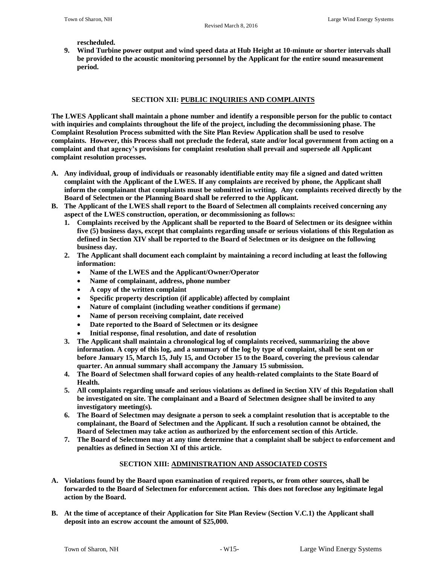**rescheduled.** 

**9. Wind Turbine power output and wind speed data at Hub Height at 10-minute or shorter intervals shall be provided to the acoustic monitoring personnel by the Applicant for the entire sound measurement period.**

## **SECTION XII: PUBLIC INQUIRIES AND COMPLAINTS**

**The LWES Applicant shall maintain a phone number and identify a responsible person for the public to contact with inquiries and complaints throughout the life of the project, including the decommissioning phase. The Complaint Resolution Process submitted with the Site Plan Review Application shall be used to resolve complaints. However, this Process shall not preclude the federal, state and/or local government from acting on a complaint and that agency's provisions for complaint resolution shall prevail and supersede all Applicant complaint resolution processes.**

- **A. Any individual, group of individuals or reasonably identifiable entity may file a signed and dated written complaint with the Applicant of the LWES. If any complaints are received by phone, the Applicant shall inform the complainant that complaints must be submitted in writing. Any complaints received directly by the Board of Selectmen or the Planning Board shall be referred to the Applicant.**
- **B. The Applicant of the LWES shall report to the Board of Selectmen all complaints received concerning any aspect of the LWES construction, operation, or decommissioning as follows:**
	- **1. Complaints received by the Applicant shall be reported to the Board of Selectmen or its designee within five (5) business days, except that complaints regarding unsafe or serious violations of this Regulation as defined in Section XIV shall be reported to the Board of Selectmen or its designee on the following business day.**
	- **2. The Applicant shall document each complaint by maintaining a record including at least the following information:**
		- **Name of the LWES and the Applicant/Owner/Operator**
		- **Name of complainant, address, phone number**
		- **A copy of the written complaint**
		- **Specific property description (if applicable) affected by complaint**
		- **Nature of complaint (including weather conditions if germane)**
		- **Name of person receiving complaint, date received**
		- **Date reported to the Board of Selectmen or its designee**
		- **Initial response, final resolution, and date of resolution**
	- **3. The Applicant shall maintain a chronological log of complaints received, summarizing the above information. A copy of this log, and a summary of the log by type of complaint, shall be sent on or before January 15, March 15, July 15, and October 15 to the Board, covering the previous calendar quarter. An annual summary shall accompany the January 15 submission.**
	- **4. The Board of Selectmen shall forward copies of any health-related complaints to the State Board of Health.**
	- **5. All complaints regarding unsafe and serious violations as defined in Section XIV of this Regulation shall be investigated on site. The complainant and a Board of Selectmen designee shall be invited to any investigatory meeting(s).**
	- **6. The Board of Selectmen may designate a person to seek a complaint resolution that is acceptable to the complainant, the Board of Selectmen and the Applicant. If such a resolution cannot be obtained, the Board of Selectmen may take action as authorized by the enforcement section of this Article.**
	- **7. The Board of Selectmen may at any time determine that a complaint shall be subject to enforcement and penalties as defined in Section XI of this article.**

# **SECTION XIII: ADMINISTRATION AND ASSOCIATED COSTS**

- **A. Violations found by the Board upon examination of required reports, or from other sources, shall be forwarded to the Board of Selectmen for enforcement action. This does not foreclose any legitimate legal action by the Board.**
- **B. At the time of acceptance of their Application for Site Plan Review (Section V.C.1) the Applicant shall deposit into an escrow account the amount of \$25,000.**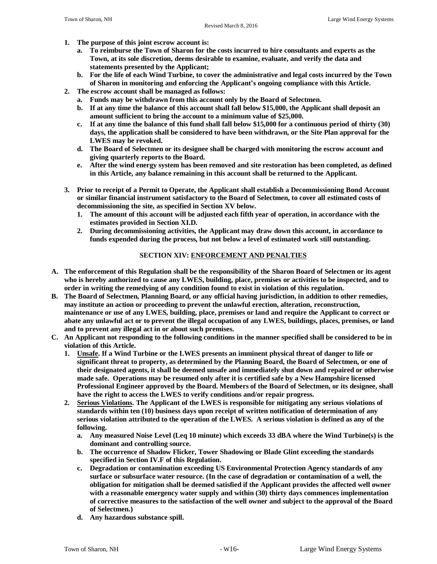- **1. The purpose of this joint escrow account is:** 
	- **a. To reimburse the Town of Sharon for the costs incurred to hire consultants and experts as the Town, at its sole discretion, deems desirable to examine, evaluate, and verify the data and statements presented by the Applicant;**
	- **b. For the life of each Wind Turbine, to cover the administrative and legal costs incurred by the Town of Sharon in monitoring and enforcing the Applicant's ongoing compliance with this Article.**
- **2. The escrow account shall be managed as follows:** 
	- **a. Funds may be withdrawn from this account only by the Board of Selectmen.**
	- **b. If at any time the balance of this account shall fall below \$15,000, the Applicant shall deposit an amount sufficient to bring the account to a minimum value of \$25,000.**
	- **c. If at any time the balance of this fund shall fall below \$15,000 for a continuous period of thirty (30) days, the application shall be considered to have been withdrawn, or the Site Plan approval for the LWES may be revoked.**
	- **d. The Board of Selectmen or its designee shall be charged with monitoring the escrow account and giving quarterly reports to the Board.**
	- **e. After the wind energy system has been removed and site restoration has been completed, as defined in this Article, any balance remaining in this account shall be returned to the Applicant.**
- **3. Prior to receipt of a Permit to Operate, the Applicant shall establish a Decommissioning Bond Account or similar financial instrument satisfactory to the Board of Selectmen, to cover all estimated costs of decommissioning the site, as specified in Section XV below.**
	- **1. The amount of this account will be adjusted each fifth year of operation, in accordance with the estimates provided in Section XI.D.**
	- **2. During decommissioning activities, the Applicant may draw down this account, in accordance to funds expended during the process, but not below a level of estimated work still outstanding.**

### **SECTION XIV: ENFORCEMENT AND PENALTIES**

- **A. The enforcement of this Regulation shall be the responsibility of the Sharon Board of Selectmen or its agent who is hereby authorized to cause any LWES, building, place, premises or activities to be inspected, and to order in writing the remedying of any condition found to exist in violation of this regulation.**
- **B. The Board of Selectmen, Planning Board, or any official having jurisdiction, in addition to other remedies, may institute an action or proceeding to prevent the unlawful erection, alteration, reconstruction, maintenance or use of any LWES, building, place, premises or land and require the Applicant to correct or abate any unlawful act or to prevent the illegal occupation of any LWES, buildings, places, premises, or land and to prevent any illegal act in or about such premises.**
- **C. An Applicant not responding to the following conditions in the manner specified shall be considered to be in violation of this Article.**
	- **1. Unsafe. If a Wind Turbine or the LWES presents an imminent physical threat of danger to life or significant threat to property, as determined by the Planning Board, the Board of Selectmen, or one of their designated agents, it shall be deemed unsafe and immediately shut down and repaired or otherwise made safe. Operations may be resumed only after it is certified safe by a New Hampshire licensed Professional Engineer approved by the Board. Members of the Board of Selectmen, or its designee, shall have the right to access the LWES to verify conditions and/or repair progress.**
	- **2. Serious Violations. The Applicant of the LWES is responsible for mitigating any serious violations of standards within ten (10) business days upon receipt of written notification of determination of any serious violation attributed to the operation of the LWES. A serious violation is defined as any of the following.**
		- **a. Any measured Noise Level (Leq 10 minute) which exceeds 33 dBA where the Wind Turbine(s) is the dominant and controlling source.**
		- **b. The occurrence of Shadow Flicker, Tower Shadowing or Blade Glint exceeding the standards specified in Section IV.F of this Regulation.**
		- **c. Degradation or contamination exceeding US Environmental Protection Agency standards of any surface or subsurface water resource. (In the case of degradation or contamination of a well, the obligation for mitigation shall be deemed satisfied if the Applicant provides the affected well owner with a reasonable emergency water supply and within (30) thirty days commences implementation of corrective measures to the satisfaction of the well owner and subject to the approval of the Board of Selectmen.)**
		- **d. Any hazardous substance spill.**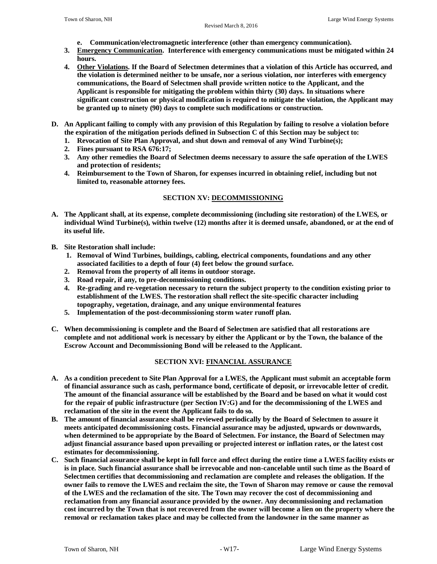- **e. Communication/electromagnetic interference (other than emergency communication).**
- **3. Emergency Communication. Interference with emergency communications must be mitigated within 24 hours.**
- **4. Other Violations. If the Board of Selectmen determines that a violation of this Article has occurred, and the violation is determined neither to be unsafe, nor a serious violation, nor interferes with emergency communications, the Board of Selectmen shall provide written notice to the Applicant, and the Applicant is responsible for mitigating the problem within thirty (30) days. In situations where significant construction or physical modification is required to mitigate the violation, the Applicant may be granted up to ninety (90) days to complete such modifications or construction.**
- **D. An Applicant failing to comply with any provision of this Regulation by failing to resolve a violation before the expiration of the mitigation periods defined in Subsection C of this Section may be subject to:**
	- **1. Revocation of Site Plan Approval, and shut down and removal of any Wind Turbine(s);**
	- **2. Fines pursuant to RSA 676:17;**
	- **3. Any other remedies the Board of Selectmen deems necessary to assure the safe operation of the LWES and protection of residents;**
	- **4. Reimbursement to the Town of Sharon, for expenses incurred in obtaining relief, including but not limited to, reasonable attorney fees.**

# **SECTION XV: DECOMMISSIONING**

- **A. The Applicant shall, at its expense, complete decommissioning (including site restoration) of the LWES, or individual Wind Turbine(s), within twelve (12) months after it is deemed unsafe, abandoned, or at the end of its useful life.**
- **B. Site Restoration shall include:**
	- **1. Removal of Wind Turbines, buildings, cabling, electrical components, foundations and any other associated facilities to a depth of four (4) feet below the ground surface.**
	- **2. Removal from the property of all items in outdoor storage.**
	- **3. Road repair, if any, to pre-decommissioning conditions.**
	- **4. Re-grading and re-vegetation necessary to return the subject property to the condition existing prior to establishment of the LWES. The restoration shall reflect the site-specific character including topography, vegetation, drainage, and any unique environmental features**
	- **5. Implementation of the post-decommissioning storm water runoff plan.**
- **C. When decommissioning is complete and the Board of Selectmen are satisfied that all restorations are complete and not additional work is necessary by either the Applicant or by the Town, the balance of the Escrow Account and Decommissioning Bond will be released to the Applicant.**

# **SECTION XVI: FINANCIAL ASSURANCE**

- **A. As a condition precedent to Site Plan Approval for a LWES, the Applicant must submit an acceptable form of financial assurance such as cash, performance bond, certificate of deposit, or irrevocable letter of credit. The amount of the financial assurance will be established by the Board and be based on what it would cost for the repair of public infrastructure (per Section IV:G) and for the decommissioning of the LWES and reclamation of the site in the event the Applicant fails to do so.**
- **B. The amount of financial assurance shall be reviewed periodically by the Board of Selectmen to assure it meets anticipated decommissioning costs. Financial assurance may be adjusted, upwards or downwards, when determined to be appropriate by the Board of Selectmen. For instance, the Board of Selectmen may adjust financial assurance based upon prevailing or projected interest or inflation rates, or the latest cost estimates for decommissioning.**
- **C. Such financial assurance shall be kept in full force and effect during the entire time a LWES facility exists or is in place. Such financial assurance shall be irrevocable and non-cancelable until such time as the Board of Selectmen certifies that decommissioning and reclamation are complete and releases the obligation. If the owner fails to remove the LWES and reclaim the site, the Town of Sharon may remove or cause the removal of the LWES and the reclamation of the site. The Town may recover the cost of decommissioning and reclamation from any financial assurance provided by the owner. Any decommissioning and reclamation cost incurred by the Town that is not recovered from the owner will become a lien on the property where the removal or reclamation takes place and may be collected from the landowner in the same manner as**